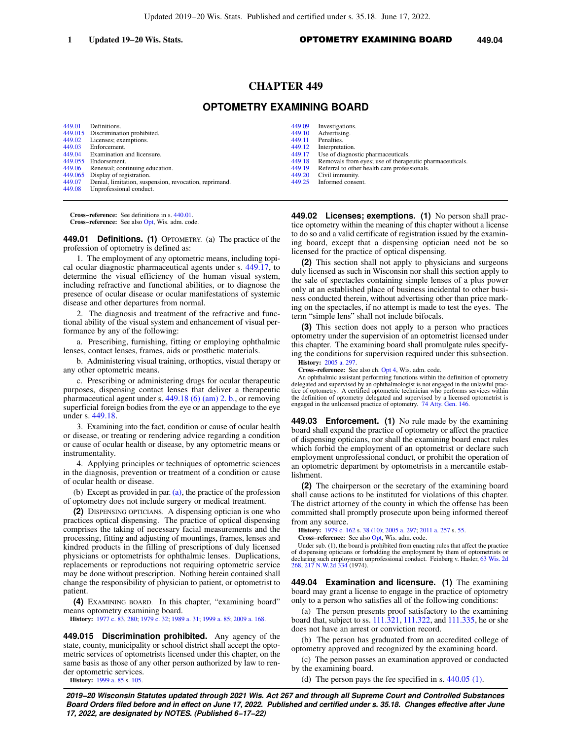## **CHAPTER 449**

# **OPTOMETRY EXAMINING BOARD**

[449.01](https://docs.legis.wisconsin.gov/document/statutes/449.01) Definitions. [449.015](https://docs.legis.wisconsin.gov/document/statutes/449.015) Discrimination prohibited.<br>449.02 Licenses: exemptions. [449.02](https://docs.legis.wisconsin.gov/document/statutes/449.02) Licenses; exemptions.<br>449.03 Enforcement [449.03](https://docs.legis.wisconsin.gov/document/statutes/449.03) Enforcement.<br>449.04 Examination: Examination and licensure.  $449.055$  Endorsement.<br> $449.06$  Renewal: con Renewal; continuing education. [449.065](https://docs.legis.wisconsin.gov/document/statutes/449.065) Display of registration.<br>449.07 Denial, limitation, susp [449.07](https://docs.legis.wisconsin.gov/document/statutes/449.07) Denial, limitation, suspension, revocation, reprimand.<br>449.08 Unprofessional conduct. Unprofessional conduct.

[449.09](https://docs.legis.wisconsin.gov/document/statutes/449.09) Investigations.<br>449.10 Advertising. [449.10](https://docs.legis.wisconsin.gov/document/statutes/449.10) Advertising.<br>449.11 Penalties. [449.11](https://docs.legis.wisconsin.gov/document/statutes/449.11) Penalties.<br>449.12 Interpreta [449.12](https://docs.legis.wisconsin.gov/document/statutes/449.12) Interpretation.<br>449.17 Ise of diagno [449.17](https://docs.legis.wisconsin.gov/document/statutes/449.17) Use of diagnostic pharmaceuticals.<br>449.18 Removals from eyes; use of therap [449.18](https://docs.legis.wisconsin.gov/document/statutes/449.18) Removals from eyes; use of therapeutic pharmaceuticals.<br>449.19 Referral to other health care professionals. [449.19](https://docs.legis.wisconsin.gov/document/statutes/449.19) Referral to other health care professionals.<br>449.20 Civil immunity. [449.20](https://docs.legis.wisconsin.gov/document/statutes/449.20) Civil immunity.<br>449.25 Informed conse Informed consent.

**Cross−reference:** See definitions in s. [440.01](https://docs.legis.wisconsin.gov/document/statutes/440.01). **Cross−reference:** See also [Opt](https://docs.legis.wisconsin.gov/document/administrativecode/Opt), Wis. adm. code.

**449.01 Definitions. (1)** OPTOMETRY. (a) The practice of the profession of optometry is defined as:

1. The employment of any optometric means, including topical ocular diagnostic pharmaceutical agents under s. [449.17,](https://docs.legis.wisconsin.gov/document/statutes/449.17) to determine the visual efficiency of the human visual system, including refractive and functional abilities, or to diagnose the presence of ocular disease or ocular manifestations of systemic disease and other departures from normal.

2. The diagnosis and treatment of the refractive and functional ability of the visual system and enhancement of visual performance by any of the following:

a. Prescribing, furnishing, fitting or employing ophthalmic lenses, contact lenses, frames, aids or prosthetic materials.

b. Administering visual training, orthoptics, visual therapy or any other optometric means.

c. Prescribing or administering drugs for ocular therapeutic purposes, dispensing contact lenses that deliver a therapeutic pharmaceutical agent under s. [449.18 \(6\) \(am\) 2. b.](https://docs.legis.wisconsin.gov/document/statutes/449.18(6)(am)2.b.), or removing superficial foreign bodies from the eye or an appendage to the eye under s. [449.18.](https://docs.legis.wisconsin.gov/document/statutes/449.18)

3. Examining into the fact, condition or cause of ocular health or disease, or treating or rendering advice regarding a condition or cause of ocular health or disease, by any optometric means or instrumentality.

4. Applying principles or techniques of optometric sciences in the diagnosis, prevention or treatment of a condition or cause of ocular health or disease.

(b) Except as provided in par. [\(a\),](https://docs.legis.wisconsin.gov/document/statutes/449.01(1)(a)) the practice of the profession of optometry does not include surgery or medical treatment.

**(2)** DISPENSING OPTICIANS. A dispensing optician is one who practices optical dispensing. The practice of optical dispensing comprises the taking of necessary facial measurements and the processing, fitting and adjusting of mountings, frames, lenses and kindred products in the filling of prescriptions of duly licensed physicians or optometrists for ophthalmic lenses. Duplications, replacements or reproductions not requiring optometric service may be done without prescription. Nothing herein contained shall change the responsibility of physician to patient, or optometrist to patient.

**(4)** EXAMINING BOARD. In this chapter, "examining board" means optometry examining board.

**History:** [1977 c. 83,](https://docs.legis.wisconsin.gov/document/acts/1977/83) [280;](https://docs.legis.wisconsin.gov/document/acts/1977/280) [1979 c. 32](https://docs.legis.wisconsin.gov/document/acts/1979/32); [1989 a. 31](https://docs.legis.wisconsin.gov/document/acts/1989/31); [1999 a. 85](https://docs.legis.wisconsin.gov/document/acts/1999/85); [2009 a. 168](https://docs.legis.wisconsin.gov/document/acts/2009/168).

**449.015 Discrimination prohibited.** Any agency of the state, county, municipality or school district shall accept the optometric services of optometrists licensed under this chapter, on the same basis as those of any other person authorized by law to render optometric services.

**History:** [1999 a. 85](https://docs.legis.wisconsin.gov/document/acts/1999/85) s. [105](https://docs.legis.wisconsin.gov/document/acts/1999/85,%20s.%20105).

**449.02 Licenses; exemptions. (1)** No person shall practice optometry within the meaning of this chapter without a license to do so and a valid certificate of registration issued by the examining board, except that a dispensing optician need not be so licensed for the practice of optical dispensing.

**(2)** This section shall not apply to physicians and surgeons duly licensed as such in Wisconsin nor shall this section apply to the sale of spectacles containing simple lenses of a plus power only at an established place of business incidental to other business conducted therein, without advertising other than price marking on the spectacles, if no attempt is made to test the eyes. The term "simple lens" shall not include bifocals.

**(3)** This section does not apply to a person who practices optometry under the supervision of an optometrist licensed under this chapter. The examining board shall promulgate rules specifying the conditions for supervision required under this subsection. **History:** [2005 a. 297.](https://docs.legis.wisconsin.gov/document/acts/2005/297)

**Cross−reference:** See also ch. [Opt 4](https://docs.legis.wisconsin.gov/document/administrativecode/ch.%20Opt%204), Wis. adm. code.

An ophthalmic assistant performing functions within the definition of optometry delegated and supervised by an ophthalmologist is not engaged in the unlawful practice of optometry. A certified optometric technician who performs services within the definition of optometry delegated and supervised by a licensed optometrist is engaged in the unlicensed practice of optometry. [74 Atty. Gen. 146.](https://docs.legis.wisconsin.gov/document/oag/vol74-146)

**449.03 Enforcement. (1)** No rule made by the examining board shall expand the practice of optometry or affect the practice of dispensing opticians, nor shall the examining board enact rules which forbid the employment of an optometrist or declare such employment unprofessional conduct, or prohibit the operation of an optometric department by optometrists in a mercantile establishment.

**(2)** The chairperson or the secretary of the examining board shall cause actions to be instituted for violations of this chapter. The district attorney of the county in which the offense has been committed shall promptly prosecute upon being informed thereof from any source.

**History:** [1979 c. 162](https://docs.legis.wisconsin.gov/document/acts/1979/162) s. [38 \(10\)](https://docs.legis.wisconsin.gov/document/acts/1979/162,%20s.%2038); [2005 a. 297;](https://docs.legis.wisconsin.gov/document/acts/2005/297) [2011 a. 257](https://docs.legis.wisconsin.gov/document/acts/2011/257) s. [55](https://docs.legis.wisconsin.gov/document/acts/2011/257,%20s.%2055).

**Cross−reference:** See also [Opt,](https://docs.legis.wisconsin.gov/document/administrativecode/Opt) Wis. adm. code.

Under sub. (1), the board is prohibited from enacting rules that affect the practice of dispensing opticians or forbidding the employment by them of optometrists or declaring such employment unprofessional conduct. Feinberg v. Hasler, [63 Wis. 2d](https://docs.legis.wisconsin.gov/document/courts/63%20Wis.%202d%20268) [268,](https://docs.legis.wisconsin.gov/document/courts/63%20Wis.%202d%20268) [217 N.W.2d 334](https://docs.legis.wisconsin.gov/document/courts/217%20N.W.2d%20334) (1974).

**449.04 Examination and licensure. (1)** The examining board may grant a license to engage in the practice of optometry only to a person who satisfies all of the following conditions:

(a) The person presents proof satisfactory to the examining board that, subject to ss. [111.321,](https://docs.legis.wisconsin.gov/document/statutes/111.321) [111.322,](https://docs.legis.wisconsin.gov/document/statutes/111.322) and [111.335](https://docs.legis.wisconsin.gov/document/statutes/111.335), he or she does not have an arrest or conviction record.

(b) The person has graduated from an accredited college of optometry approved and recognized by the examining board.

(c) The person passes an examination approved or conducted by the examining board.

(d) The person pays the fee specified in s. [440.05 \(1\)](https://docs.legis.wisconsin.gov/document/statutes/440.05(1)).

**2019−20 Wisconsin Statutes updated through 2021 Wis. Act 267 and through all Supreme Court and Controlled Substances Board Orders filed before and in effect on June 17, 2022. Published and certified under s. 35.18. Changes effective after June 17, 2022, are designated by NOTES. (Published 6−17−22)**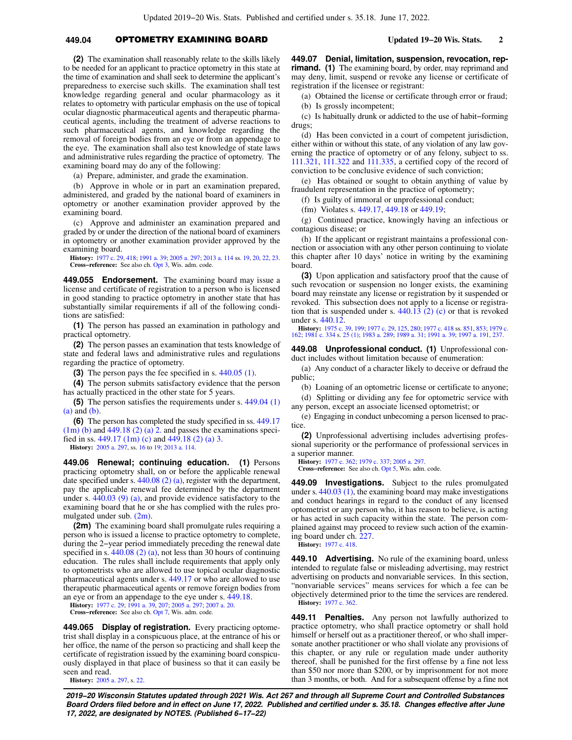## **449.04** OPTOMETRY EXAMINING BOARD **Updated 19−20 Wis. Stats. 2**

**(2)** The examination shall reasonably relate to the skills likely to be needed for an applicant to practice optometry in this state at the time of examination and shall seek to determine the applicant's preparedness to exercise such skills. The examination shall test knowledge regarding general and ocular pharmacology as it relates to optometry with particular emphasis on the use of topical ocular diagnostic pharmaceutical agents and therapeutic pharmaceutical agents, including the treatment of adverse reactions to such pharmaceutical agents, and knowledge regarding the removal of foreign bodies from an eye or from an appendage to the eye. The examination shall also test knowledge of state laws and administrative rules regarding the practice of optometry. The examining board may do any of the following:

(a) Prepare, administer, and grade the examination.

(b) Approve in whole or in part an examination prepared, administered, and graded by the national board of examiners in optometry or another examination provider approved by the examining board.

(c) Approve and administer an examination prepared and graded by or under the direction of the national board of examiners in optometry or another examination provider approved by the examining board.

**History:** [1977 c. 29,](https://docs.legis.wisconsin.gov/document/acts/1977/29) [418;](https://docs.legis.wisconsin.gov/document/acts/1977/418) [1991 a. 39](https://docs.legis.wisconsin.gov/document/acts/1991/39); [2005 a. 297](https://docs.legis.wisconsin.gov/document/acts/2005/297); [2013 a. 114](https://docs.legis.wisconsin.gov/document/acts/2013/114) ss. [19](https://docs.legis.wisconsin.gov/document/acts/2013/114,%20s.%2019), [20,](https://docs.legis.wisconsin.gov/document/acts/2013/114,%20s.%2020) [22,](https://docs.legis.wisconsin.gov/document/acts/2013/114,%20s.%2022) [23](https://docs.legis.wisconsin.gov/document/acts/2013/114,%20s.%2023). **Cross−reference:** See also ch. [Opt 3,](https://docs.legis.wisconsin.gov/document/administrativecode/ch.%20Opt%203) Wis. adm. code.

**449.055 Endorsement.** The examining board may issue a license and certificate of registration to a person who is licensed in good standing to practice optometry in another state that has substantially similar requirements if all of the following conditions are satisfied:

**(1)** The person has passed an examination in pathology and practical optometry.

**(2)** The person passes an examination that tests knowledge of state and federal laws and administrative rules and regulations regarding the practice of optometry.

**(3)** The person pays the fee specified in s. [440.05 \(1\)](https://docs.legis.wisconsin.gov/document/statutes/440.05(1)).

**(4)** The person submits satisfactory evidence that the person has actually practiced in the other state for 5 years.

**(5)** The person satisfies the requirements under s. [449.04 \(1\)](https://docs.legis.wisconsin.gov/document/statutes/449.04(1)(a)) [\(a\)](https://docs.legis.wisconsin.gov/document/statutes/449.04(1)(a)) and [\(b\).](https://docs.legis.wisconsin.gov/document/statutes/449.04(1)(b))

**(6)** The person has completed the study specified in ss. [449.17](https://docs.legis.wisconsin.gov/document/statutes/449.17(1m)(b))  $(1m)$  (b) and [449.18 \(2\) \(a\) 2.](https://docs.legis.wisconsin.gov/document/statutes/449.18(2)(a)2.) and passes the examinations specified in ss.  $449.17$  (1m) (c) and  $449.18$  (2) (a) 3.

**History:** [2005 a. 297](https://docs.legis.wisconsin.gov/document/acts/2005/297), ss. [16](https://docs.legis.wisconsin.gov/document/acts/2005/297,%20s.%2016) to [19;](https://docs.legis.wisconsin.gov/document/acts/2005/297,%20s.%2019) [2013 a. 114](https://docs.legis.wisconsin.gov/document/acts/2013/114).

**449.06 Renewal; continuing education. (1)** Persons practicing optometry shall, on or before the applicable renewal date specified under s. [440.08 \(2\) \(a\)](https://docs.legis.wisconsin.gov/document/statutes/440.08(2)(a)), register with the department, pay the applicable renewal fee determined by the department under s. [440.03 \(9\) \(a\),](https://docs.legis.wisconsin.gov/document/statutes/440.03(9)(a)) and provide evidence satisfactory to the examining board that he or she has complied with the rules promulgated under sub. [\(2m\)](https://docs.legis.wisconsin.gov/document/statutes/449.06(2m)).

**(2m)** The examining board shall promulgate rules requiring a person who is issued a license to practice optometry to complete, during the 2−year period immediately preceding the renewal date specified in s.  $440.08$  (2) (a), not less than 30 hours of continuing education. The rules shall include requirements that apply only to optometrists who are allowed to use topical ocular diagnostic pharmaceutical agents under s. [449.17](https://docs.legis.wisconsin.gov/document/statutes/449.17) or who are allowed to use therapeutic pharmaceutical agents or remove foreign bodies from an eye or from an appendage to the eye under s. [449.18](https://docs.legis.wisconsin.gov/document/statutes/449.18).

**History:** [1977 c. 29;](https://docs.legis.wisconsin.gov/document/acts/1977/29) [1991 a. 39,](https://docs.legis.wisconsin.gov/document/acts/1991/39) [207](https://docs.legis.wisconsin.gov/document/acts/1991/207); [2005 a. 297;](https://docs.legis.wisconsin.gov/document/acts/2005/297) [2007 a. 20.](https://docs.legis.wisconsin.gov/document/acts/2007/20)

**Cross−reference:** See also ch. [Opt 7,](https://docs.legis.wisconsin.gov/document/administrativecode/ch.%20Opt%207) Wis. adm. code.

**449.065 Display of registration.** Every practicing optometrist shall display in a conspicuous place, at the entrance of his or her office, the name of the person so practicing and shall keep the certificate of registration issued by the examining board conspicuously displayed in that place of business so that it can easily be seen and read.

**History:** [2005 a. 297](https://docs.legis.wisconsin.gov/document/acts/2005/297), s. [22](https://docs.legis.wisconsin.gov/document/acts/2005/297,%20s.%2022).

**449.07 Denial, limitation, suspension, revocation, reprimand. (1)** The examining board, by order, may reprimand and may deny, limit, suspend or revoke any license or certificate of registration if the licensee or registrant:

(a) Obtained the license or certificate through error or fraud; (b) Is grossly incompetent;

(c) Is habitually drunk or addicted to the use of habit−forming drugs;

(d) Has been convicted in a court of competent jurisdiction, either within or without this state, of any violation of any law governing the practice of optometry or of any felony, subject to ss. [111.321,](https://docs.legis.wisconsin.gov/document/statutes/111.321) [111.322](https://docs.legis.wisconsin.gov/document/statutes/111.322) and [111.335,](https://docs.legis.wisconsin.gov/document/statutes/111.335) a certified copy of the record of conviction to be conclusive evidence of such conviction;

(e) Has obtained or sought to obtain anything of value by fraudulent representation in the practice of optometry;

(f) Is guilty of immoral or unprofessional conduct;

(fm) Violates s. [449.17](https://docs.legis.wisconsin.gov/document/statutes/449.17), [449.18](https://docs.legis.wisconsin.gov/document/statutes/449.18) or [449.19;](https://docs.legis.wisconsin.gov/document/statutes/449.19)

(g) Continued practice, knowingly having an infectious or contagious disease; or

(h) If the applicant or registrant maintains a professional connection or association with any other person continuing to violate this chapter after 10 days' notice in writing by the examining board.

**(3)** Upon application and satisfactory proof that the cause of such revocation or suspension no longer exists, the examining board may reinstate any license or registration by it suspended or revoked. This subsection does not apply to a license or registration that is suspended under s. [440.13 \(2\) \(c\)](https://docs.legis.wisconsin.gov/document/statutes/440.13(2)(c)) or that is revoked under s. [440.12.](https://docs.legis.wisconsin.gov/document/statutes/440.12)

**History:** [1975 c. 39](https://docs.legis.wisconsin.gov/document/acts/1975/39), [199;](https://docs.legis.wisconsin.gov/document/acts/1975/199) [1977 c. 29](https://docs.legis.wisconsin.gov/document/acts/1977/29), [125](https://docs.legis.wisconsin.gov/document/acts/1977/125), [280;](https://docs.legis.wisconsin.gov/document/acts/1977/280) [1977 c. 418](https://docs.legis.wisconsin.gov/document/acts/1977/418) ss. [851,](https://docs.legis.wisconsin.gov/document/acts/1977/418,%20s.%20851) [853](https://docs.legis.wisconsin.gov/document/acts/1977/418,%20s.%20853); [1979 c.](https://docs.legis.wisconsin.gov/document/acts/1979/162) [162;](https://docs.legis.wisconsin.gov/document/acts/1979/162) [1981 c. 334](https://docs.legis.wisconsin.gov/document/acts/1981/334) s. [25 \(1\)](https://docs.legis.wisconsin.gov/document/acts/1981/334,%20s.%2025); [1983 a. 289;](https://docs.legis.wisconsin.gov/document/acts/1983/289) [1989 a. 31;](https://docs.legis.wisconsin.gov/document/acts/1989/31) [1991 a. 39](https://docs.legis.wisconsin.gov/document/acts/1991/39); [1997 a. 191,](https://docs.legis.wisconsin.gov/document/acts/1997/191) [237.](https://docs.legis.wisconsin.gov/document/acts/1997/237)

**449.08 Unprofessional conduct. (1)** Unprofessional conduct includes without limitation because of enumeration:

(a) Any conduct of a character likely to deceive or defraud the public;

(b) Loaning of an optometric license or certificate to anyone;

(d) Splitting or dividing any fee for optometric service with any person, except an associate licensed optometrist; or

(e) Engaging in conduct unbecoming a person licensed to practice.

**(2)** Unprofessional advertising includes advertising professional superiority or the performance of professional services in a superior manner.

**History:** [1977 c. 362;](https://docs.legis.wisconsin.gov/document/acts/1977/362) [1979 c. 337](https://docs.legis.wisconsin.gov/document/acts/1979/337); [2005 a. 297.](https://docs.legis.wisconsin.gov/document/acts/2005/297)

**Cross−reference:** See also ch. [Opt 5](https://docs.legis.wisconsin.gov/document/administrativecode/ch.%20Opt%205), Wis. adm. code.

**449.09 Investigations.** Subject to the rules promulgated under s. [440.03 \(1\)](https://docs.legis.wisconsin.gov/document/statutes/440.03(1)), the examining board may make investigations and conduct hearings in regard to the conduct of any licensed optometrist or any person who, it has reason to believe, is acting or has acted in such capacity within the state. The person complained against may proceed to review such action of the examining board under ch. [227](https://docs.legis.wisconsin.gov/document/statutes/ch.%20227).

**History:** [1977 c. 418.](https://docs.legis.wisconsin.gov/document/acts/1977/418)

**449.10 Advertising.** No rule of the examining board, unless intended to regulate false or misleading advertising, may restrict advertising on products and nonvariable services. In this section, "nonvariable services" means services for which a fee can be objectively determined prior to the time the services are rendered. **History:** [1977 c. 362.](https://docs.legis.wisconsin.gov/document/acts/1977/362)

**449.11 Penalties.** Any person not lawfully authorized to practice optometry, who shall practice optometry or shall hold himself or herself out as a practitioner thereof, or who shall impersonate another practitioner or who shall violate any provisions of this chapter, or any rule or regulation made under authority thereof, shall be punished for the first offense by a fine not less than \$50 nor more than \$200, or by imprisonment for not more than 3 months, or both. And for a subsequent offense by a fine not

**2019−20 Wisconsin Statutes updated through 2021 Wis. Act 267 and through all Supreme Court and Controlled Substances Board Orders filed before and in effect on June 17, 2022. Published and certified under s. 35.18. Changes effective after June 17, 2022, are designated by NOTES. (Published 6−17−22)**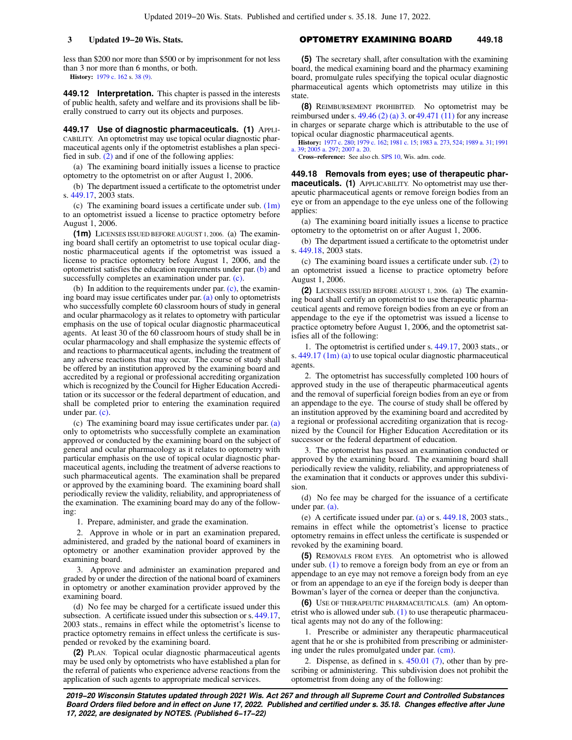less than \$200 nor more than \$500 or by imprisonment for not less than 3 nor more than 6 months, or both.

**History:** [1979 c. 162](https://docs.legis.wisconsin.gov/document/acts/1979/162) s. [38 \(9\)](https://docs.legis.wisconsin.gov/document/acts/1979/162,%20s.%2038).

**449.12 Interpretation.** This chapter is passed in the interests of public health, safety and welfare and its provisions shall be liberally construed to carry out its objects and purposes.

**449.17 Use of diagnostic pharmaceuticals. (1)** APPLI-CABILITY. An optometrist may use topical ocular diagnostic pharmaceutical agents only if the optometrist establishes a plan specified in sub.  $(2)$  and if one of the following applies:

(a) The examining board initially issues a license to practice optometry to the optometrist on or after August 1, 2006.

(b) The department issued a certificate to the optometrist under s. [449.17,](https://docs.legis.wisconsin.gov/document/statutes/2003/449.17) 2003 stats.

(c) The examining board issues a certificate under sub. [\(1m\)](https://docs.legis.wisconsin.gov/document/statutes/449.17(1m)) to an optometrist issued a license to practice optometry before August 1, 2006.

**(1m)** LICENSES ISSUED BEFORE AUGUST 1, 2006. (a) The examining board shall certify an optometrist to use topical ocular diagnostic pharmaceutical agents if the optometrist was issued a license to practice optometry before August 1, 2006, and the optometrist satisfies the education requirements under par. [\(b\)](https://docs.legis.wisconsin.gov/document/statutes/449.17(1m)(b)) and successfully completes an examination under par. [\(c\).](https://docs.legis.wisconsin.gov/document/statutes/449.17(1m)(c))

(b) In addition to the requirements under par.  $(c)$ , the examining board may issue certificates under par. [\(a\)](https://docs.legis.wisconsin.gov/document/statutes/449.17(1m)(a)) only to optometrists who successfully complete 60 classroom hours of study in general and ocular pharmacology as it relates to optometry with particular emphasis on the use of topical ocular diagnostic pharmaceutical agents. At least 30 of the 60 classroom hours of study shall be in ocular pharmacology and shall emphasize the systemic effects of and reactions to pharmaceutical agents, including the treatment of any adverse reactions that may occur. The course of study shall be offered by an institution approved by the examining board and accredited by a regional or professional accrediting organization which is recognized by the Council for Higher Education Accreditation or its successor or the federal department of education, and shall be completed prior to entering the examination required under par. [\(c\)](https://docs.legis.wisconsin.gov/document/statutes/449.17(1m)(c)).

(c) The examining board may issue certificates under par. [\(a\)](https://docs.legis.wisconsin.gov/document/statutes/449.17(1m)(a)) only to optometrists who successfully complete an examination approved or conducted by the examining board on the subject of general and ocular pharmacology as it relates to optometry with particular emphasis on the use of topical ocular diagnostic pharmaceutical agents, including the treatment of adverse reactions to such pharmaceutical agents. The examination shall be prepared or approved by the examining board. The examining board shall periodically review the validity, reliability, and appropriateness of the examination. The examining board may do any of the following:

1. Prepare, administer, and grade the examination.

2. Approve in whole or in part an examination prepared, administered, and graded by the national board of examiners in optometry or another examination provider approved by the examining board.

3. Approve and administer an examination prepared and graded by or under the direction of the national board of examiners in optometry or another examination provider approved by the examining board.

(d) No fee may be charged for a certificate issued under this subsection. A certificate issued under this subsection or s. [449.17,](https://docs.legis.wisconsin.gov/document/statutes/2003/449.17) 2003 stats., remains in effect while the optometrist's license to practice optometry remains in effect unless the certificate is suspended or revoked by the examining board.

**(2)** PLAN. Topical ocular diagnostic pharmaceutical agents may be used only by optometrists who have established a plan for the referral of patients who experience adverse reactions from the application of such agents to appropriate medical services.

### **3 Updated 19−20 Wis. Stats.** OPTOMETRY EXAMINING BOARD **449.18**

**(5)** The secretary shall, after consultation with the examining board, the medical examining board and the pharmacy examining board, promulgate rules specifying the topical ocular diagnostic pharmaceutical agents which optometrists may utilize in this state.

**(8)** REIMBURSEMENT PROHIBITED. No optometrist may be reimbursed under s.  $49.46$  (2) (a) 3. or  $49.471$  (11) for any increase in charges or separate charge which is attributable to the use of topical ocular diagnostic pharmaceutical agents.

**History:** [1977 c. 280;](https://docs.legis.wisconsin.gov/document/acts/1977/280) [1979 c. 162](https://docs.legis.wisconsin.gov/document/acts/1979/162); [1981 c. 15](https://docs.legis.wisconsin.gov/document/acts/1981/15); [1983 a. 273](https://docs.legis.wisconsin.gov/document/acts/1983/273), [524](https://docs.legis.wisconsin.gov/document/acts/1983/524); [1989 a. 31;](https://docs.legis.wisconsin.gov/document/acts/1989/31) [1991](https://docs.legis.wisconsin.gov/document/acts/1991/39) [a. 39;](https://docs.legis.wisconsin.gov/document/acts/1991/39) [2005 a. 297](https://docs.legis.wisconsin.gov/document/acts/2005/297); [2007 a. 20](https://docs.legis.wisconsin.gov/document/acts/2007/20).

**Cross−reference:** See also ch. [SPS 10,](https://docs.legis.wisconsin.gov/document/administrativecode/ch.%20SPS%2010) Wis. adm. code.

**449.18 Removals from eyes; use of therapeutic pharmaceuticals. (1)** APPLICABILITY. No optometrist may use therapeutic pharmaceutical agents or remove foreign bodies from an eye or from an appendage to the eye unless one of the following applies:

(a) The examining board initially issues a license to practice optometry to the optometrist on or after August 1, 2006.

(b) The department issued a certificate to the optometrist under s. [449.18,](https://docs.legis.wisconsin.gov/document/statutes/2003/449.18) 2003 stats.

(c) The examining board issues a certificate under sub. [\(2\)](https://docs.legis.wisconsin.gov/document/statutes/449.18(2)) to an optometrist issued a license to practice optometry before August 1, 2006.

**(2)** LICENSES ISSUED BEFORE AUGUST 1, 2006. (a) The examining board shall certify an optometrist to use therapeutic pharmaceutical agents and remove foreign bodies from an eye or from an appendage to the eye if the optometrist was issued a license to practice optometry before August 1, 2006, and the optometrist satisfies all of the following:

1. The optometrist is certified under s. [449.17](https://docs.legis.wisconsin.gov/document/statutes/2003/449.17), 2003 stats., or s. [449.17 \(1m\) \(a\)](https://docs.legis.wisconsin.gov/document/statutes/449.17(1m)(a)) to use topical ocular diagnostic pharmaceutical agents.

2. The optometrist has successfully completed 100 hours of approved study in the use of therapeutic pharmaceutical agents and the removal of superficial foreign bodies from an eye or from an appendage to the eye. The course of study shall be offered by an institution approved by the examining board and accredited by a regional or professional accrediting organization that is recognized by the Council for Higher Education Accreditation or its successor or the federal department of education.

3. The optometrist has passed an examination conducted or approved by the examining board. The examining board shall periodically review the validity, reliability, and appropriateness of the examination that it conducts or approves under this subdivision.

(d) No fee may be charged for the issuance of a certificate under par. [\(a\).](https://docs.legis.wisconsin.gov/document/statutes/449.18(2)(a))

(e) A certificate issued under par. [\(a\)](https://docs.legis.wisconsin.gov/document/statutes/449.18(2)(a)) or s. [449.18](https://docs.legis.wisconsin.gov/document/statutes/2003/449.18), 2003 stats., remains in effect while the optometrist's license to practice optometry remains in effect unless the certificate is suspended or revoked by the examining board.

**(5)** REMOVALS FROM EYES. An optometrist who is allowed under sub.  $(1)$  to remove a foreign body from an eye or from an appendage to an eye may not remove a foreign body from an eye or from an appendage to an eye if the foreign body is deeper than Bowman's layer of the cornea or deeper than the conjunctiva.

**(6)** USE OF THERAPEUTIC PHARMACEUTICALS. (am) An optometrist who is allowed under sub.  $(1)$  to use therapeutic pharmaceutical agents may not do any of the following:

1. Prescribe or administer any therapeutic pharmaceutical agent that he or she is prohibited from prescribing or administering under the rules promulgated under par. [\(cm\)](https://docs.legis.wisconsin.gov/document/statutes/449.18(6)(cm)).

2. Dispense, as defined in s. [450.01 \(7\)](https://docs.legis.wisconsin.gov/document/statutes/450.01(7)), other than by prescribing or administering. This subdivision does not prohibit the optometrist from doing any of the following:

**2019−20 Wisconsin Statutes updated through 2021 Wis. Act 267 and through all Supreme Court and Controlled Substances Board Orders filed before and in effect on June 17, 2022. Published and certified under s. 35.18. Changes effective after June 17, 2022, are designated by NOTES. (Published 6−17−22)**